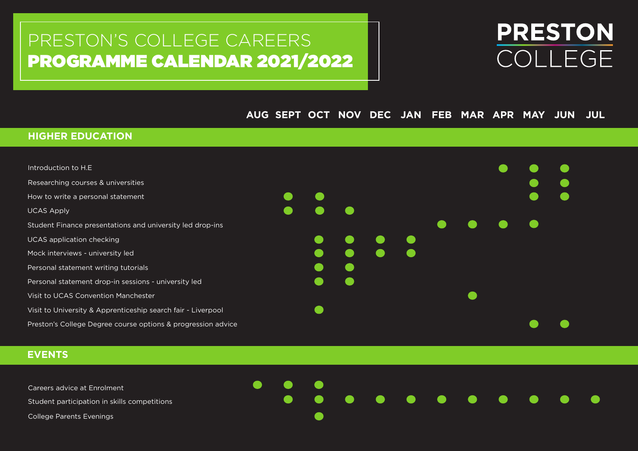# PRESTON'S COLLEGE CAREERS PROGRAMME CALENDAR 2021/2022

# **PRESTON** COLLEGE

# **AUG SEPT OCT NOV DEC JAN FEB MAR APR MAY JUN JUL**

## **HIGHER EDUCATION**

| Introduction to H.E.                                         |  |  |  |  |  |
|--------------------------------------------------------------|--|--|--|--|--|
| Researching courses & universities                           |  |  |  |  |  |
| How to write a personal statement                            |  |  |  |  |  |
| <b>UCAS Apply</b>                                            |  |  |  |  |  |
| Student Finance presentations and university led drop-ins    |  |  |  |  |  |
| <b>UCAS</b> application checking                             |  |  |  |  |  |
| Mock interviews - university led                             |  |  |  |  |  |
| Personal statement writing tutorials                         |  |  |  |  |  |
| Personal statement drop-in sessions - university led         |  |  |  |  |  |
| Visit to UCAS Convention Manchester                          |  |  |  |  |  |
| Visit to University & Apprenticeship search fair - Liverpool |  |  |  |  |  |
| Preston's College Degree course options & progression advice |  |  |  |  |  |

 $\bullet$ 

# **EVENTS**

Careers advice at Enrolment

Student participation in skills competitions

College Parents Evenings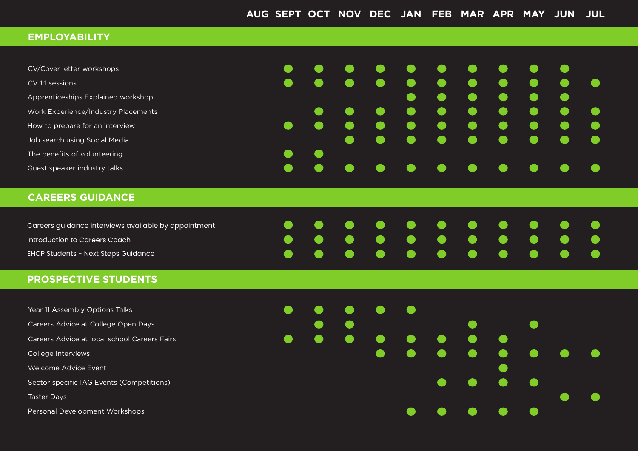#### **EMPLOYABILITY**

| CV/Cover letter workshops           |  | <u>a se</u> | .                                                                                                                                                                                                                                    |                                                                                                                 |                     |                                         |                                                                                                                      | <u>andar Sa</u>                                                                                                                                                                                                                      |  |
|-------------------------------------|--|-------------|--------------------------------------------------------------------------------------------------------------------------------------------------------------------------------------------------------------------------------------|-----------------------------------------------------------------------------------------------------------------|---------------------|-----------------------------------------|----------------------------------------------------------------------------------------------------------------------|--------------------------------------------------------------------------------------------------------------------------------------------------------------------------------------------------------------------------------------|--|
| CV 1:1 sessions                     |  | $\bullet$   | <u>and the set of the set of the set of the set of the set of the set of the set of the set of the set of the set of the set of the set of the set of the set of the set of the set of the set of the set of the set of the set </u> | <b>Simple Street</b>                                                                                            | $\bullet$ $\bullet$ | <u>and the second second</u>            | <b>Simple Street</b>                                                                                                 |                                                                                                                                                                                                                                      |  |
| Apprenticeships Explained workshop  |  |             |                                                                                                                                                                                                                                      | $\bullet$                                                                                                       |                     | $\bullet$ $\bullet$ $\bullet$ $\bullet$ |                                                                                                                      | <u>andoni</u>                                                                                                                                                                                                                        |  |
| Work Experience/Industry Placements |  | $\bullet$   | .                                                                                                                                                                                                                                    |                                                                                                                 |                     |                                         |                                                                                                                      | <b>Simple Street</b>                                                                                                                                                                                                                 |  |
| How to prepare for an interview     |  |             | <b>Simple Street</b>                                                                                                                                                                                                                 | <b>Simple Street</b>                                                                                            | $\bullet$ $\bullet$ | <u>a se</u>                             | <u>estas estas estas estas en la propia de la propia de la propia de la propia de la propia de la propia de la p</u> | <u>and the set of the set of the set of the set of the set of the set of the set of the set of the set of the set of the set of the set of the set of the set of the set of the set of the set of the set of the set of the set </u> |  |
| Job search using Social Media       |  | $\bullet$   | <u>andar Sa</u>                                                                                                                                                                                                                      |                                                                                                                 |                     | .                                       |                                                                                                                      | <u>and the set of the set of the set of the set of the set of the set of the set of the set of the set of the set of the set of the set of the set of the set of the set of the set of the set of the set of the set of the set </u> |  |
| The benefits of volunteering        |  |             |                                                                                                                                                                                                                                      |                                                                                                                 |                     |                                         |                                                                                                                      |                                                                                                                                                                                                                                      |  |
| Guest speaker industry talks        |  |             |                                                                                                                                                                                                                                      | a series de la propia de la propia de la propia de la propia de la propia de la propia de la propia de la propi | e e e               | <u>a se</u>                             | <u>a se</u>                                                                                                          |                                                                                                                                                                                                                                      |  |

## **CAREERS GUIDANCE**

| Careers guidance interviews available by appointment |  |  |  | . |  |  |
|------------------------------------------------------|--|--|--|---|--|--|
| Introduction to Careers Coach                        |  |  |  | . |  |  |
| EHCP Students - Next Steps Guidance                  |  |  |  | . |  |  |

#### **PROSPECTIVE STUDENTS**

Year 11 Assembly Options Talks

Careers Advice at College Open Days

Careers Advice at local school Careers Fairs

College Interviews

Welcome Advice Event

Sector specific IAG Events (Competitions)

Taster Days

Personal Development Workshops